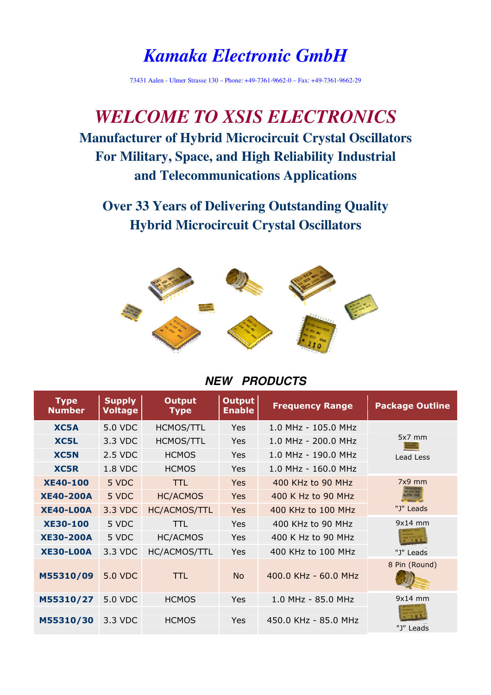# *Kamaka Electronic GmbH*

73431 Aalen - Ulmer Strasse 130 – Phone: +49-7361-9662-0 – Fax: +49-7361-9662-29

# *WELCOME TO XSIS ELECTRONICS* **Manufacturer of Hybrid Microcircuit Crystal Oscillators For Military, Space, and High Reliability Industrial and Telecommunications Applications**

**Over 33 Years of Delivering Outstanding Quality Hybrid Microcircuit Crystal Oscillators** 



#### **NEW PRODUCTS**

| <b>Type</b><br><b>Number</b> | <b>Supply</b><br><b>Voltage</b> | <b>Output</b><br><b>Type</b> | <b>Output</b><br><b>Enable</b> | <b>Frequency Range</b>  | <b>Package Outline</b>                      |
|------------------------------|---------------------------------|------------------------------|--------------------------------|-------------------------|---------------------------------------------|
| XC5A                         | 5.0 VDC                         | <b>HCMOS/TTL</b>             | <b>Yes</b>                     | 1.0 MHz - 105.0 MHz     |                                             |
| XC5L                         | 3.3 VDC                         | <b>HCMOS/TTL</b>             | <b>Yes</b>                     | $1.0$ MHz - 200.0 MHz   | $5x7$ mm                                    |
| XC5N                         | 2.5 VDC                         | <b>HCMOS</b>                 | Yes                            | $1.0$ MHz - 190.0 MHz   | Lead Less                                   |
| XC5R                         | 1.8 VDC                         | <b>HCMOS</b>                 | Yes                            | $1.0$ MHz - $160.0$ MHz |                                             |
| <b>XE40-100</b>              | 5 VDC                           | <b>TTL</b>                   | <b>Yes</b>                     | 400 KHz to 90 MHz       | $7x9$ mm                                    |
| <b>XE40-200A</b>             | 5 VDC                           | <b>HC/ACMOS</b>              | Yes                            | 400 K Hz to 90 MHz      | <b><i><u>Property Line</u></i></b><br>n a s |
| <b>XE40-LOOA</b>             | 3.3 VDC                         | HC/ACMOS/TTL                 | Yes                            | 400 KHz to 100 MHz      | "J" Leads                                   |
| <b>XE30-100</b>              | 5 VDC                           | TTL                          | Yes                            | 400 KHz to 90 MHz       | $9x14$ mm                                   |
| <b>XE30-200A</b>             | 5 VDC                           | <b>HC/ACMOS</b>              | Yes                            | 400 K Hz to 90 MHz      |                                             |
| <b>XE30-LOOA</b>             | 3.3 VDC                         | HC/ACMOS/TTL                 | Yes                            | 400 KHz to 100 MHz      | "J" Leads                                   |
| M55310/09                    | 5.0 VDC                         | TTL                          | No                             | 400.0 KHz - 60.0 MHz    | 8 Pin (Round)                               |
| M55310/27                    | 5.0 VDC                         | <b>HCMOS</b>                 | <b>Yes</b>                     | 1.0 MHz - 85.0 MHz      | $9x14$ mm                                   |
| M55310/30                    | 3.3 VDC                         | <b>HCMOS</b>                 | <b>Yes</b>                     | 450.0 KHz - 85.0 MHz    | "J" Leads                                   |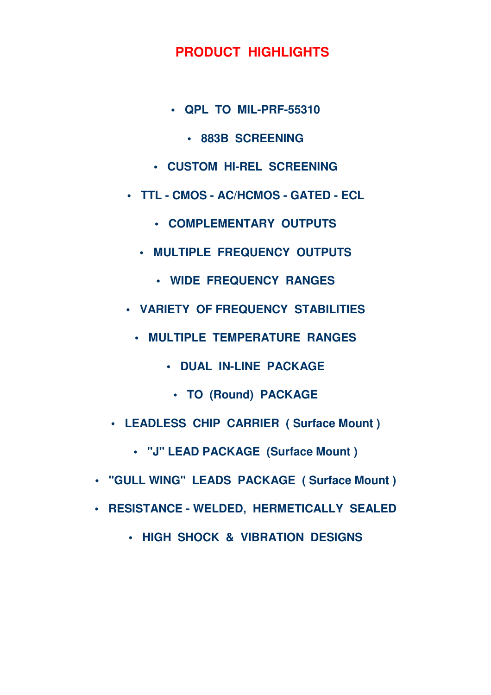#### **PRODUCT HIGHLIGHTS**

- **QPL TO MIL-PRF-55310** 
	- **883B SCREENING**
- **CUSTOM HI-REL SCREENING**
- **TTL CMOS AC/HCMOS GATED ECL** 
	- **COMPLEMENTARY OUTPUTS**
	- **MULTIPLE FREQUENCY OUTPUTS** 
		- **WIDE FREQUENCY RANGES**
- **VARIETY OF FREQUENCY STABILITIES** 
	- **MULTIPLE TEMPERATURE RANGES** 
		- **DUAL IN-LINE PACKAGE** 
			- **TO (Round) PACKAGE**
- **LEADLESS CHIP CARRIER ( Surface Mount )** 
	- **"J" LEAD PACKAGE (Surface Mount )**
- **"GULL WING" LEADS PACKAGE ( Surface Mount )**
- **RESISTANCE WELDED, HERMETICALLY SEALED** 
	- **HIGH SHOCK & VIBRATION DESIGNS**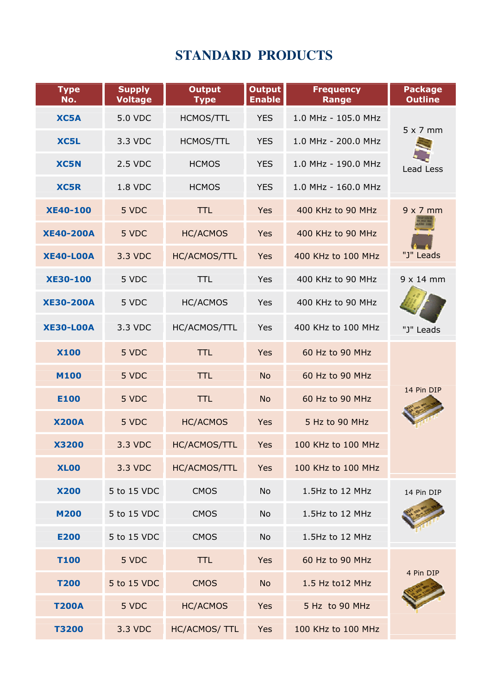# **STANDARD PRODUCTS**

| <b>Type</b><br>No. | <b>Supply</b><br><b>Voltage</b> | <b>Output</b><br><b>Type</b> | <b>Output</b><br><b>Enable</b> | <b>Frequency</b><br><b>Range</b> | <b>Package</b><br><b>Outline</b> |
|--------------------|---------------------------------|------------------------------|--------------------------------|----------------------------------|----------------------------------|
| XC5A               | 5.0 VDC                         | <b>HCMOS/TTL</b>             | <b>YES</b>                     | 1.0 MHz - 105.0 MHz              |                                  |
| XC5L               | 3.3 VDC                         | <b>HCMOS/TTL</b>             | <b>YES</b>                     | 1.0 MHz - 200.0 MHz              | $5 \times 7$ mm                  |
| <b>XC5N</b>        | 2.5 VDC                         | <b>HCMOS</b>                 | <b>YES</b>                     | 1.0 MHz - 190.0 MHz              | Lead Less                        |
| <b>XC5R</b>        | <b>1.8 VDC</b>                  | <b>HCMOS</b>                 | <b>YES</b>                     | 1.0 MHz - 160.0 MHz              |                                  |
| <b>XE40-100</b>    | 5 VDC                           | <b>TTL</b>                   | Yes                            | 400 KHz to 90 MHz                | $9 \times 7$ mm                  |
| <b>XE40-200A</b>   | 5 VDC                           | <b>HC/ACMOS</b>              | Yes                            | 400 KHz to 90 MHz                |                                  |
| <b>XE40-LOOA</b>   | 3.3 VDC                         | HC/ACMOS/TTL                 | Yes                            | 400 KHz to 100 MHz               | "J" Leads                        |
| <b>XE30-100</b>    | 5 VDC                           | <b>TTL</b>                   | Yes                            | 400 KHz to 90 MHz                | $9 \times 14$ mm                 |
| <b>XE30-200A</b>   | 5 VDC                           | <b>HC/ACMOS</b>              | Yes                            | 400 KHz to 90 MHz                |                                  |
| <b>XE30-LOOA</b>   | 3.3 VDC                         | HC/ACMOS/TTL                 | Yes                            | 400 KHz to 100 MHz               | "J" Leads                        |
| <b>X100</b>        | 5 VDC                           | <b>TTL</b>                   | Yes                            | 60 Hz to 90 MHz                  |                                  |
| <b>M100</b>        | 5 VDC                           | <b>TTL</b>                   | <b>No</b>                      | 60 Hz to 90 MHz                  |                                  |
| <b>E100</b>        | 5 VDC                           | <b>TTL</b>                   | <b>No</b>                      | 60 Hz to 90 MHz                  | 14 Pin DIP                       |
| <b>X200A</b>       | 5 VDC                           | <b>HC/ACMOS</b>              | Yes                            | 5 Hz to 90 MHz                   |                                  |
| <b>X3200</b>       | 3.3 VDC                         | HC/ACMOS/TTL                 | Yes                            | 100 KHz to 100 MHz               |                                  |
| <b>XL00</b>        | 3.3 VDC                         | HC/ACMOS/TTL                 | Yes                            | 100 KHz to 100 MHz               |                                  |
| <b>X200</b>        | 5 to 15 VDC                     | <b>CMOS</b>                  | <b>No</b>                      | 1.5Hz to 12 MHz                  | 14 Pin DIP                       |
| <b>M200</b>        | 5 to 15 VDC                     | <b>CMOS</b>                  | <b>No</b>                      | 1.5Hz to 12 MHz                  |                                  |
| <b>E200</b>        | 5 to 15 VDC                     | <b>CMOS</b>                  | <b>No</b>                      | 1.5Hz to 12 MHz                  |                                  |
| <b>T100</b>        | 5 VDC                           | <b>TTL</b>                   | Yes                            | 60 Hz to 90 MHz                  |                                  |
| <b>T200</b>        | 5 to 15 VDC                     | <b>CMOS</b>                  | <b>No</b>                      | 1.5 Hz to 12 MHz                 | 4 Pin DIP                        |
| <b>T200A</b>       | 5 VDC                           | <b>HC/ACMOS</b>              | Yes                            | 5 Hz to 90 MHz                   |                                  |
| <b>T3200</b>       | 3.3 VDC                         | HC/ACMOS/ TTL                | Yes                            | 100 KHz to 100 MHz               |                                  |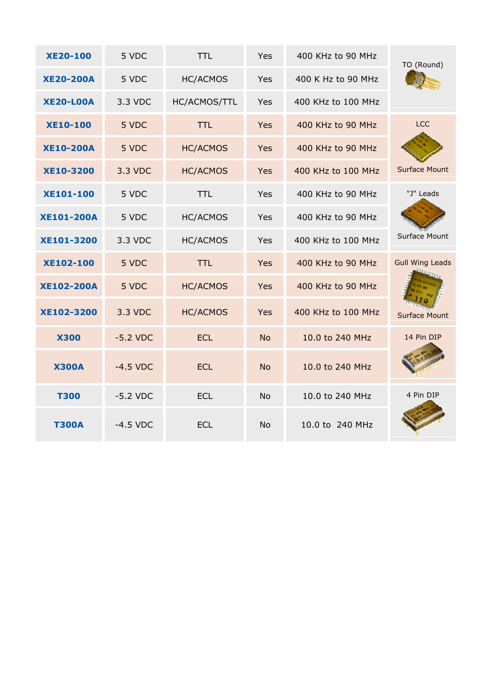| <b>XE20-100</b>   | 5 VDC      | <b>TTL</b>      | Yes        | 400 KHz to 90 MHz  | TO (Round)             |
|-------------------|------------|-----------------|------------|--------------------|------------------------|
| <b>XE20-200A</b>  | 5 VDC      | <b>HC/ACMOS</b> | <b>Yes</b> | 400 K Hz to 90 MHz |                        |
| <b>XE20-LOOA</b>  | 3.3 VDC    | HC/ACMOS/TTL    | Yes        | 400 KHz to 100 MHz |                        |
| <b>XE10-100</b>   | 5 VDC      | <b>TTL</b>      | <b>Yes</b> | 400 KHz to 90 MHz  | <b>LCC</b>             |
| <b>XE10-200A</b>  | 5 VDC      | <b>HC/ACMOS</b> | <b>Yes</b> | 400 KHz to 90 MHz  |                        |
| <b>XE10-3200</b>  | 3.3 VDC    | <b>HC/ACMOS</b> | <b>Yes</b> | 400 KHz to 100 MHz | <b>Surface Mount</b>   |
| <b>XE101-100</b>  | 5 VDC      | <b>TTL</b>      | Yes        | 400 KHz to 90 MHz  | "J" Leads              |
| <b>XE101-200A</b> | 5 VDC      | <b>HC/ACMOS</b> | Yes        | 400 KHz to 90 MHz  |                        |
| XE101-3200        | 3.3 VDC    | <b>HC/ACMOS</b> | Yes        | 400 KHz to 100 MHz | Surface Mount          |
| <b>XE102-100</b>  | 5 VDC      | <b>TTL</b>      | <b>Yes</b> | 400 KHz to 90 MHz  | <b>Gull Wing Leads</b> |
| <b>XE102-200A</b> | 5 VDC      | <b>HC/ACMOS</b> | <b>Yes</b> | 400 KHz to 90 MHz  |                        |
| XE102-3200        | 3.3 VDC    | <b>HC/ACMOS</b> | Yes        | 400 KHz to 100 MHz | <b>Surface Mount</b>   |
| <b>X300</b>       | $-5.2$ VDC | <b>ECL</b>      | <b>No</b>  | 10.0 to 240 MHz    | 14 Pin DIP             |
| <b>X300A</b>      | $-4.5$ VDC | <b>ECL</b>      | <b>No</b>  | 10.0 to 240 MHz    |                        |
| <b>T300</b>       | $-5.2$ VDC | <b>ECL</b>      | <b>No</b>  | 10.0 to 240 MHz    | 4 Pin DIP              |
| <b>T300A</b>      | $-4.5$ VDC | <b>ECL</b>      | <b>No</b>  | 10.0 to 240 MHz    |                        |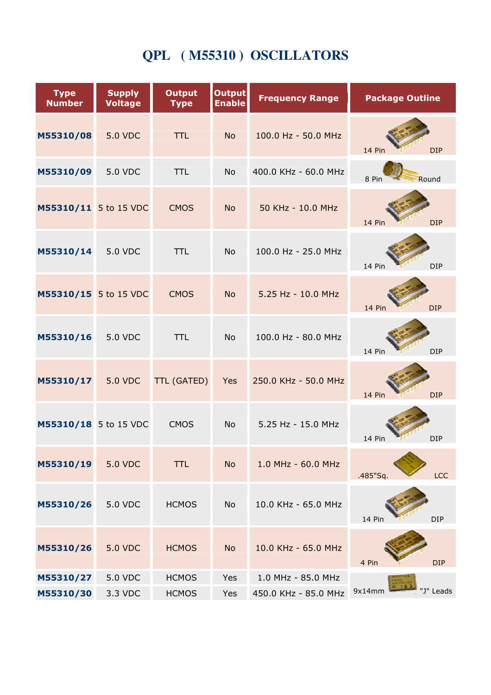# **QPL ( M55310 ) OSCILLATORS**

| <b>Type</b><br><b>Number</b> | <b>Supply</b><br><b>Voltage</b> | <b>Output</b><br><b>Type</b> | <b>Output</b><br><b>Enable</b> | <b>Frequency Range</b> | <b>Package Outline</b> |
|------------------------------|---------------------------------|------------------------------|--------------------------------|------------------------|------------------------|
| M55310/08                    | <b>5.0 VDC</b>                  | <b>TTL</b>                   | <b>No</b>                      | 100.0 Hz - 50.0 MHz    | 14 Pin<br><b>DIP</b>   |
| M55310/09                    | 5.0 VDC                         | <b>TTL</b>                   | <b>No</b>                      | 400.0 KHz - 60.0 MHz   | Round<br>8 Pin         |
| M55310/11 5 to 15 VDC        |                                 | <b>CMOS</b>                  | <b>No</b>                      | 50 KHz - 10.0 MHz      | 14 Pin<br><b>DIP</b>   |
| M55310/14                    | <b>5.0 VDC</b>                  | <b>TTL</b>                   | <b>No</b>                      | 100.0 Hz - 25.0 MHz    | 14 Pin<br><b>DIP</b>   |
| M55310/15 5 to 15 VDC        |                                 | <b>CMOS</b>                  | <b>No</b>                      | 5.25 Hz - 10.0 MHz     | 14 Pin<br><b>DIP</b>   |
| M55310/16                    | 5.0 VDC                         | <b>TTL</b>                   | <b>No</b>                      | 100.0 Hz - 80.0 MHz    | 14 Pin<br><b>DIP</b>   |
| M55310/17                    | <b>5.0 VDC</b>                  | <b>TTL (GATED)</b>           | Yes                            | 250.0 KHz - 50.0 MHz   | 14 Pin<br><b>DIP</b>   |
| M55310/18 5 to 15 VDC        |                                 | <b>CMOS</b>                  | <b>No</b>                      | 5.25 Hz - 15.0 MHz     | 14 Pin<br><b>DIP</b>   |
| M55310/19                    | <b>5.0 VDC</b>                  | <b>TTL</b>                   | <b>No</b>                      | 1.0 MHz - 60.0 MHz     | LCC<br>.485"Sq.        |
| M55310/26                    | 5.0 VDC                         | <b>HCMOS</b>                 | No                             | 10.0 KHz - 65.0 MHz    | <b>DIP</b><br>14 Pin   |
| M55310/26                    | <b>5.0 VDC</b>                  | <b>HCMOS</b>                 | <b>No</b>                      | 10.0 KHz - 65.0 MHz    | 4 Pin<br><b>DIP</b>    |
| M55310/27                    | 5.0 VDC                         | <b>HCMOS</b>                 | Yes                            | 1.0 MHz - 85.0 MHz     |                        |
| M55310/30                    | 3.3 VDC                         | <b>HCMOS</b>                 | Yes                            | 450.0 KHz - 85.0 MHz   | 9x14mm<br>"J" Leads    |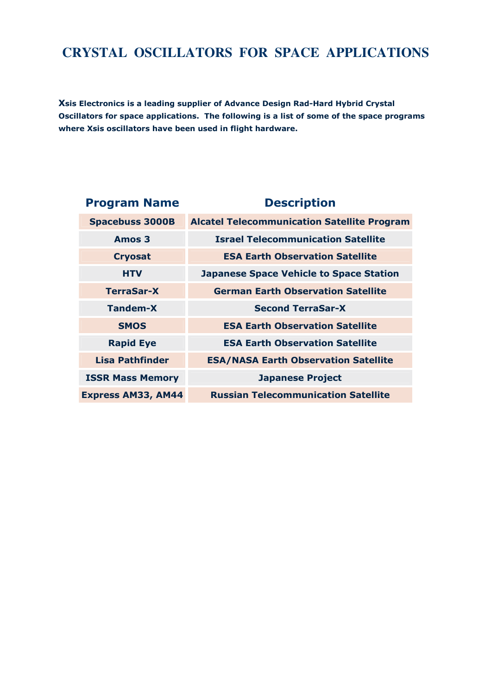### **CRYSTAL OSCILLATORS FOR SPACE APPLICATIONS**

Xsis Electronics is a leading supplier of Advance Design Rad-Hard Hybrid Crystal Oscillators for space applications. The following is a list of some of the space programs where Xsis oscillators have been used in flight hardware.

| <b>Program Name</b>       | <b>Description</b>                                 |
|---------------------------|----------------------------------------------------|
| <b>Spacebuss 3000B</b>    | <b>Alcatel Telecommunication Satellite Program</b> |
| Amos 3                    | <b>Israel Telecommunication Satellite</b>          |
| <b>Cryosat</b>            | <b>ESA Earth Observation Satellite</b>             |
| <b>HTV</b>                | <b>Japanese Space Vehicle to Space Station</b>     |
| <b>TerraSar-X</b>         | <b>German Earth Observation Satellite</b>          |
| <b>Tandem-X</b>           | <b>Second TerraSar-X</b>                           |
| <b>SMOS</b>               | <b>ESA Earth Observation Satellite</b>             |
| <b>Rapid Eye</b>          | <b>ESA Earth Observation Satellite</b>             |
| Lisa Pathfinder           | <b>ESA/NASA Earth Observation Satellite</b>        |
| <b>ISSR Mass Memory</b>   | <b>Japanese Project</b>                            |
| <b>Express AM33, AM44</b> | <b>Russian Telecommunication Satellite</b>         |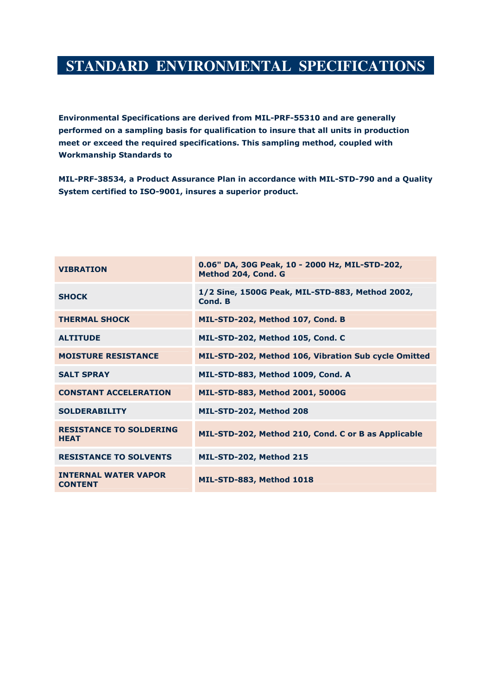## **STANDARD ENVIRONMENTAL SPECIFICATIONS**

Environmental Specifications are derived from MIL-PRF-55310 and are generally performed on a sampling basis for qualification to insure that all units in production meet or exceed the required specifications. This sampling method, coupled with Workmanship Standards to

MIL-PRF-38534, a Product Assurance Plan in accordance with MIL-STD-790 and a Quality System certified to ISO-9001, insures a superior product.

| <b>VIBRATION</b>                              | 0.06" DA, 30G Peak, 10 - 2000 Hz, MIL-STD-202,<br>Method 204, Cond. G |
|-----------------------------------------------|-----------------------------------------------------------------------|
| <b>SHOCK</b>                                  | 1/2 Sine, 1500G Peak, MIL-STD-883, Method 2002,<br>Cond. B            |
| <b>THERMAL SHOCK</b>                          | MIL-STD-202, Method 107, Cond. B                                      |
| <b>ALTITUDE</b>                               | MIL-STD-202, Method 105, Cond. C                                      |
| <b>MOISTURE RESISTANCE</b>                    | MIL-STD-202, Method 106, Vibration Sub cycle Omitted                  |
| <b>SALT SPRAY</b>                             | MIL-STD-883, Method 1009, Cond. A                                     |
| <b>CONSTANT ACCELERATION</b>                  | MIL-STD-883, Method 2001, 5000G                                       |
| <b>SOLDERABILITY</b>                          | MIL-STD-202, Method 208                                               |
| <b>RESISTANCE TO SOLDERING</b><br><b>HEAT</b> | MIL-STD-202, Method 210, Cond. C or B as Applicable                   |
| <b>RESISTANCE TO SOLVENTS</b>                 | MIL-STD-202, Method 215                                               |
| <b>INTERNAL WATER VAPOR</b><br><b>CONTENT</b> | <b>MIL-STD-883, Method 1018</b>                                       |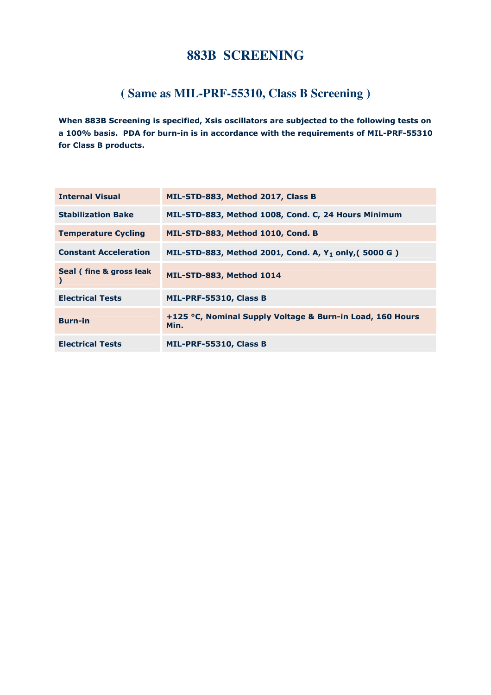#### **883B SCREENING**

#### **( Same as MIL-PRF-55310, Class B Screening )**

When 883B Screening is specified, Xsis oscillators are subjected to the following tests on a 100% basis. PDA for burn-in is in accordance with the requirements of MIL-PRF-55310 for Class B products.

| <b>Internal Visual</b>       | MIL-STD-883, Method 2017, Class B                                 |
|------------------------------|-------------------------------------------------------------------|
| <b>Stabilization Bake</b>    | MIL-STD-883, Method 1008, Cond. C, 24 Hours Minimum               |
| <b>Temperature Cycling</b>   | MIL-STD-883, Method 1010, Cond. B                                 |
| <b>Constant Acceleration</b> | MIL-STD-883, Method 2001, Cond. A, Y <sub>1</sub> only, (5000 G)  |
| Seal (fine & gross leak      | MIL-STD-883, Method 1014                                          |
| <b>Electrical Tests</b>      | MIL-PRF-55310, Class B                                            |
| <b>Burn-in</b>               | +125 °C, Nominal Supply Voltage & Burn-in Load, 160 Hours<br>Min. |
| <b>Electrical Tests</b>      | MIL-PRF-55310, Class B                                            |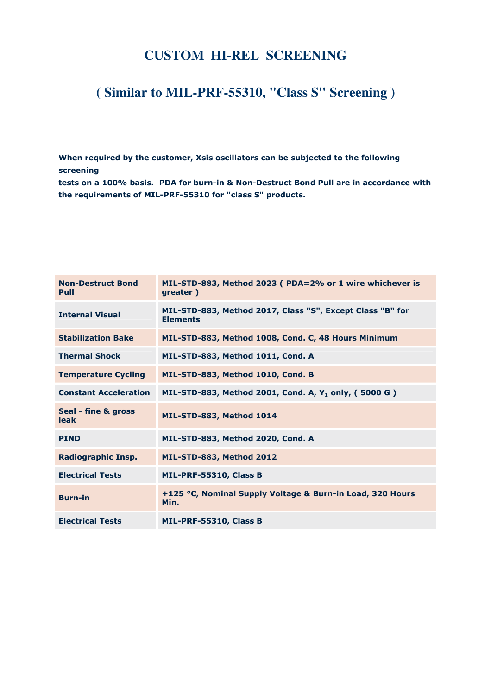#### **CUSTOM HI-REL SCREENING**

## **( Similar to MIL-PRF-55310, "Class S" Screening )**

When required by the customer, Xsis oscillators can be subjected to the following screening

tests on a 100% basis. PDA for burn-in & Non-Destruct Bond Pull are in accordance with the requirements of MIL-PRF-55310 for "class S" products.

| <b>Non-Destruct Bond</b><br>Pull   | MIL-STD-883, Method 2023 (PDA=2% or 1 wire whichever is<br>greater)          |
|------------------------------------|------------------------------------------------------------------------------|
| <b>Internal Visual</b>             | MIL-STD-883, Method 2017, Class "S", Except Class "B" for<br><b>Elements</b> |
| <b>Stabilization Bake</b>          | MIL-STD-883, Method 1008, Cond. C, 48 Hours Minimum                          |
| <b>Thermal Shock</b>               | MIL-STD-883, Method 1011, Cond. A                                            |
| <b>Temperature Cycling</b>         | MIL-STD-883, Method 1010, Cond. B                                            |
| <b>Constant Acceleration</b>       | MIL-STD-883, Method 2001, Cond. A, Y <sub>1</sub> only, (5000 G)             |
| Seal - fine & gross<br><b>leak</b> | MIL-STD-883, Method 1014                                                     |
| <b>PIND</b>                        | MIL-STD-883, Method 2020, Cond. A                                            |
| <b>Radiographic Insp.</b>          | MIL-STD-883, Method 2012                                                     |
| <b>Electrical Tests</b>            | MIL-PRF-55310, Class B                                                       |
| <b>Burn-in</b>                     | +125 °C, Nominal Supply Voltage & Burn-in Load, 320 Hours<br>Min.            |
| <b>Electrical Tests</b>            | MIL-PRF-55310, Class B                                                       |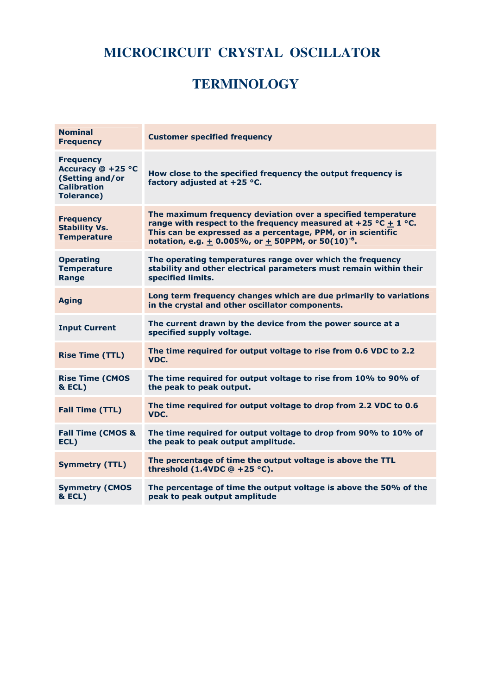## **MICROCIRCUIT CRYSTAL OSCILLATOR**

## **TERMINOLOGY**

| <b>Nominal</b><br><b>Frequency</b>                                                                  | <b>Customer specified frequency</b>                                                                                                                                                                                                                                          |
|-----------------------------------------------------------------------------------------------------|------------------------------------------------------------------------------------------------------------------------------------------------------------------------------------------------------------------------------------------------------------------------------|
| <b>Frequency</b><br>Accuracy @ +25 °C<br>(Setting and/or<br><b>Calibration</b><br><b>Tolerance)</b> | How close to the specified frequency the output frequency is<br>factory adjusted at $+25$ °C.                                                                                                                                                                                |
| <b>Frequency</b><br><b>Stability Vs.</b><br><b>Temperature</b>                                      | The maximum frequency deviation over a specified temperature<br>range with respect to the frequency measured at +25 °C $\pm$ 1 °C.<br>This can be expressed as a percentage, PPM, or in scientific<br>notation, e.g. $\pm$ 0.005%, or $\pm$ 50PPM, or 50(10) <sup>-6</sup> . |
| <b>Operating</b><br><b>Temperature</b><br>Range                                                     | The operating temperatures range over which the frequency<br>stability and other electrical parameters must remain within their<br>specified limits.                                                                                                                         |
| <b>Aging</b>                                                                                        | Long term frequency changes which are due primarily to variations<br>in the crystal and other oscillator components.                                                                                                                                                         |
| <b>Input Current</b>                                                                                | The current drawn by the device from the power source at a<br>specified supply voltage.                                                                                                                                                                                      |
| <b>Rise Time (TTL)</b>                                                                              | The time required for output voltage to rise from 0.6 VDC to 2.2<br>VDC.                                                                                                                                                                                                     |
| <b>Rise Time (CMOS</b><br><b>&amp; ECL)</b>                                                         | The time required for output voltage to rise from 10% to 90% of<br>the peak to peak output.                                                                                                                                                                                  |
| <b>Fall Time (TTL)</b>                                                                              | The time required for output voltage to drop from 2.2 VDC to 0.6<br>VDC.                                                                                                                                                                                                     |
| <b>Fall Time (CMOS &amp;</b><br>ECL)                                                                | The time required for output voltage to drop from 90% to 10% of<br>the peak to peak output amplitude.                                                                                                                                                                        |
| <b>Symmetry (TTL)</b>                                                                               | The percentage of time the output voltage is above the TTL<br>threshold $(1.4VDC @ +25 °C)$ .                                                                                                                                                                                |
| <b>Symmetry (CMOS</b><br><b>&amp; ECL)</b>                                                          | The percentage of time the output voltage is above the 50% of the<br>peak to peak output amplitude                                                                                                                                                                           |